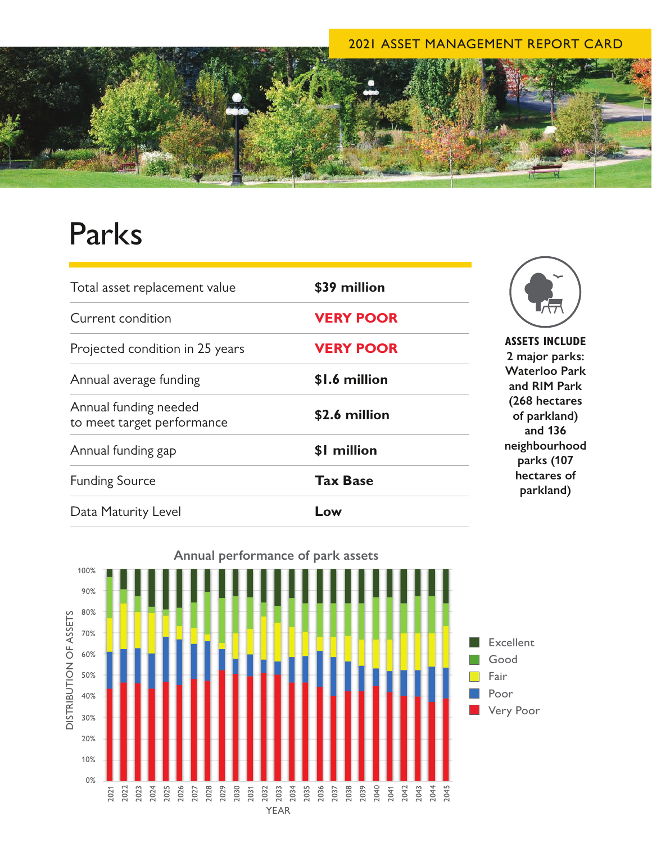## 2021 ASSET MANAGEMENT REPORT CARD



## Parks

| Total asset replacement value                       | \$39 million     | <b>ASSETS INCLUDE</b><br>2 major parks:<br><b>Waterloo Park</b><br>and RIM Park<br>(268 hectares<br>of parkland)<br>and 136<br>neighbourhood<br>parks (107<br>hectares of<br>parkland) |
|-----------------------------------------------------|------------------|----------------------------------------------------------------------------------------------------------------------------------------------------------------------------------------|
| Current condition                                   | <b>VERY POOR</b> |                                                                                                                                                                                        |
| Projected condition in 25 years                     | <b>VERY POOR</b> |                                                                                                                                                                                        |
| Annual average funding                              | \$1.6 million    |                                                                                                                                                                                        |
| Annual funding needed<br>to meet target performance | \$2.6 million    |                                                                                                                                                                                        |
| Annual funding gap                                  | \$1 million      |                                                                                                                                                                                        |
| <b>Funding Source</b>                               | <b>Tax Base</b>  |                                                                                                                                                                                        |
| Data Maturity Level                                 | Low              |                                                                                                                                                                                        |